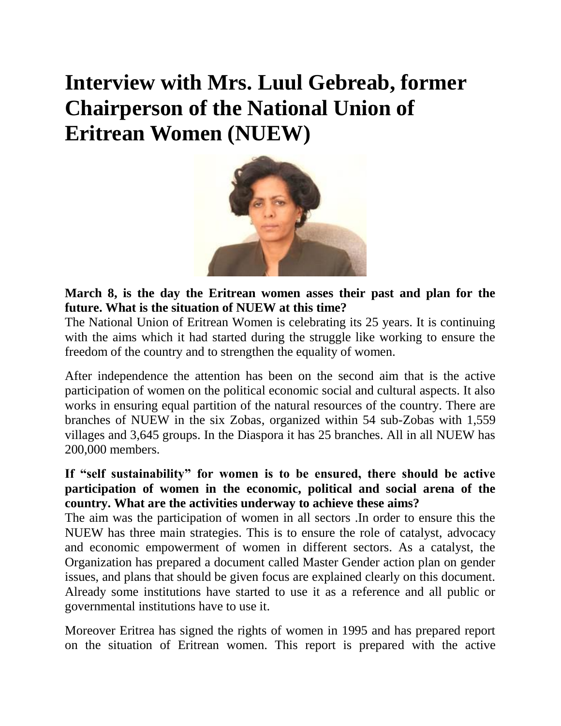# **Interview with Mrs. Luul Gebreab, former Chairperson of the National Union of Eritrean Women (NUEW)**



**March 8, is the day the Eritrean women asses their past and plan for the future. What is the situation of NUEW at this time?**

The National Union of Eritrean Women is celebrating its 25 years. It is continuing with the aims which it had started during the struggle like working to ensure the freedom of the country and to strengthen the equality of women.

After independence the attention has been on the second aim that is the active participation of women on the political economic social and cultural aspects. It also works in ensuring equal partition of the natural resources of the country. There are branches of NUEW in the six Zobas, organized within 54 sub-Zobas with 1,559 villages and 3,645 groups. In the Diaspora it has 25 branches. All in all NUEW has 200,000 members.

**If "self sustainability" for women is to be ensured, there should be active participation of women in the economic, political and social arena of the country. What are the activities underway to achieve these aims?**

The aim was the participation of women in all sectors .In order to ensure this the NUEW has three main strategies. This is to ensure the role of catalyst, advocacy and economic empowerment of women in different sectors. As a catalyst, the Organization has prepared a document called Master Gender action plan on gender issues, and plans that should be given focus are explained clearly on this document. Already some institutions have started to use it as a reference and all public or governmental institutions have to use it.

Moreover Eritrea has signed the rights of women in 1995 and has prepared report on the situation of Eritrean women. This report is prepared with the active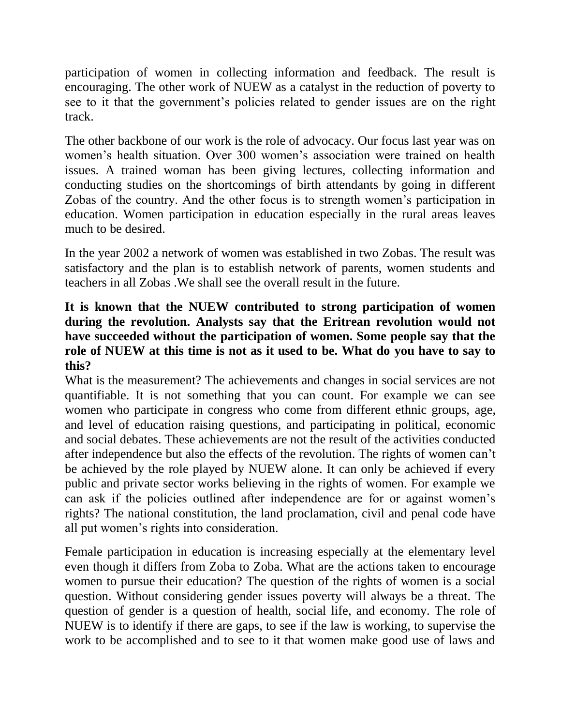participation of women in collecting information and feedback. The result is encouraging. The other work of NUEW as a catalyst in the reduction of poverty to see to it that the government's policies related to gender issues are on the right track.

The other backbone of our work is the role of advocacy. Our focus last year was on women's health situation. Over 300 women's association were trained on health issues. A trained woman has been giving lectures, collecting information and conducting studies on the shortcomings of birth attendants by going in different Zobas of the country. And the other focus is to strength women's participation in education. Women participation in education especially in the rural areas leaves much to be desired.

In the year 2002 a network of women was established in two Zobas. The result was satisfactory and the plan is to establish network of parents, women students and teachers in all Zobas .We shall see the overall result in the future.

# **It is known that the NUEW contributed to strong participation of women during the revolution. Analysts say that the Eritrean revolution would not have succeeded without the participation of women. Some people say that the role of NUEW at this time is not as it used to be. What do you have to say to this?**

What is the measurement? The achievements and changes in social services are not quantifiable. It is not something that you can count. For example we can see women who participate in congress who come from different ethnic groups, age, and level of education raising questions, and participating in political, economic and social debates. These achievements are not the result of the activities conducted after independence but also the effects of the revolution. The rights of women can't be achieved by the role played by NUEW alone. It can only be achieved if every public and private sector works believing in the rights of women. For example we can ask if the policies outlined after independence are for or against women's rights? The national constitution, the land proclamation, civil and penal code have all put women's rights into consideration.

Female participation in education is increasing especially at the elementary level even though it differs from Zoba to Zoba. What are the actions taken to encourage women to pursue their education? The question of the rights of women is a social question. Without considering gender issues poverty will always be a threat. The question of gender is a question of health, social life, and economy. The role of NUEW is to identify if there are gaps, to see if the law is working, to supervise the work to be accomplished and to see to it that women make good use of laws and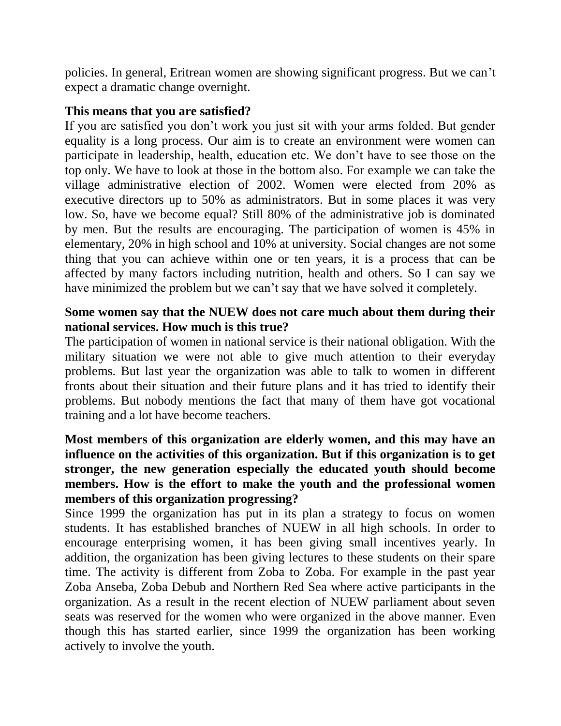policies. In general, Eritrean women are showing significant progress. But we can't expect a dramatic change overnight.

### **This means that you are satisfied?**

If you are satisfied you don't work you just sit with your arms folded. But gender equality is a long process. Our aim is to create an environment were women can participate in leadership, health, education etc. We don't have to see those on the top only. We have to look at those in the bottom also. For example we can take the village administrative election of 2002. Women were elected from 20% as executive directors up to 50% as administrators. But in some places it was very low. So, have we become equal? Still 80% of the administrative job is dominated by men. But the results are encouraging. The participation of women is 45% in elementary, 20% in high school and 10% at university. Social changes are not some thing that you can achieve within one or ten years, it is a process that can be affected by many factors including nutrition, health and others. So I can say we have minimized the problem but we can't say that we have solved it completely.

# **Some women say that the NUEW does not care much about them during their national services. How much is this true?**

The participation of women in national service is their national obligation. With the military situation we were not able to give much attention to their everyday problems. But last year the organization was able to talk to women in different fronts about their situation and their future plans and it has tried to identify their problems. But nobody mentions the fact that many of them have got vocational training and a lot have become teachers.

# **Most members of this organization are elderly women, and this may have an influence on the activities of this organization. But if this organization is to get stronger, the new generation especially the educated youth should become members. How is the effort to make the youth and the professional women members of this organization progressing?**

Since 1999 the organization has put in its plan a strategy to focus on women students. It has established branches of NUEW in all high schools. In order to encourage enterprising women, it has been giving small incentives yearly. In addition, the organization has been giving lectures to these students on their spare time. The activity is different from Zoba to Zoba. For example in the past year Zoba Anseba, Zoba Debub and Northern Red Sea where active participants in the organization. As a result in the recent election of NUEW parliament about seven seats was reserved for the women who were organized in the above manner. Even though this has started earlier, since 1999 the organization has been working actively to involve the youth.